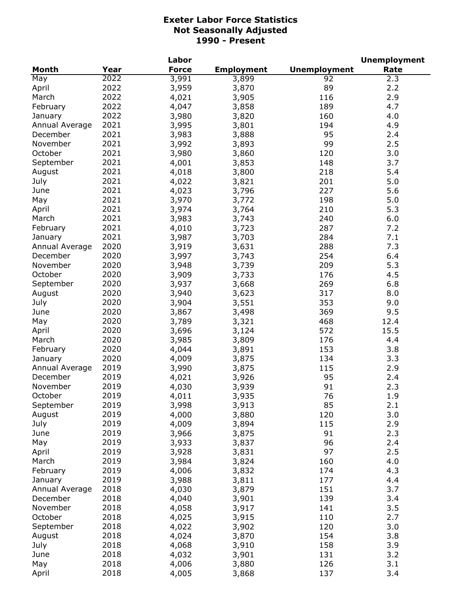|                |      | Labor        |                   |                     | <b>Unemployment</b> |
|----------------|------|--------------|-------------------|---------------------|---------------------|
| <b>Month</b>   | Year | <b>Force</b> | <b>Employment</b> | <b>Unemployment</b> | Rate                |
| May            | 2022 | 3,991        | 3,899             | 92                  | 2.3                 |
| April          | 2022 | 3,959        | 3,870             | 89                  | 2.2                 |
| March          | 2022 | 4,021        | 3,905             | 116                 | 2.9                 |
| February       | 2022 | 4,047        | 3,858             | 189                 | 4.7                 |
| January        | 2022 | 3,980        | 3,820             | 160                 | 4.0                 |
| Annual Average | 2021 | 3,995        | 3,801             | 194                 | 4.9                 |
| December       | 2021 | 3,983        | 3,888             | 95                  | 2.4                 |
| November       | 2021 | 3,992        | 3,893             | 99                  | 2.5                 |
| October        | 2021 | 3,980        | 3,860             | 120                 | 3.0                 |
| September      | 2021 | 4,001        | 3,853             | 148                 | 3.7                 |
| August         | 2021 | 4,018        | 3,800             | 218                 | 5.4                 |
| July           | 2021 | 4,022        | 3,821             | 201                 | 5.0                 |
| June           | 2021 | 4,023        | 3,796             | 227                 | 5.6                 |
|                | 2021 | 3,970        | 3,772             | 198                 | 5.0                 |
| May            | 2021 |              |                   |                     |                     |
| April          |      | 3,974        | 3,764             | 210                 | 5.3                 |
| March          | 2021 | 3,983        | 3,743             | 240                 | 6.0                 |
| February       | 2021 | 4,010        | 3,723             | 287                 | 7.2                 |
| January        | 2021 | 3,987        | 3,703             | 284                 | 7.1                 |
| Annual Average | 2020 | 3,919        | 3,631             | 288                 | 7.3                 |
| December       | 2020 | 3,997        | 3,743             | 254                 | 6.4                 |
| November       | 2020 | 3,948        | 3,739             | 209                 | 5.3                 |
| October        | 2020 | 3,909        | 3,733             | 176                 | 4.5                 |
| September      | 2020 | 3,937        | 3,668             | 269                 | 6.8                 |
| August         | 2020 | 3,940        | 3,623             | 317                 | 8.0                 |
| July           | 2020 | 3,904        | 3,551             | 353                 | 9.0                 |
| June           | 2020 | 3,867        | 3,498             | 369                 | 9.5                 |
| May            | 2020 | 3,789        | 3,321             | 468                 | 12.4                |
| April          | 2020 | 3,696        | 3,124             | 572                 | 15.5                |
| March          | 2020 | 3,985        | 3,809             | 176                 | 4.4                 |
| February       | 2020 | 4,044        | 3,891             | 153                 | 3.8                 |
| January        | 2020 | 4,009        | 3,875             | 134                 | 3.3                 |
| Annual Average | 2019 | 3,990        | 3,875             | 115                 | 2.9                 |
| December       | 2019 | 4,021        | 3,926             | 95                  | 2.4                 |
| November       | 2019 | 4,030        | 3,939             | 91                  | 2.3                 |
| October        | 2019 | 4,011        | 3,935             | 76                  | 1.9                 |
| September      | 2019 | 3,998        | 3,913             | 85                  | 2.1                 |
| August         | 2019 | 4,000        | 3,880             | 120                 | 3.0                 |
| July           | 2019 | 4,009        | 3,894             | 115                 | 2.9                 |
| June           | 2019 | 3,966        | 3,875             | 91                  | 2.3                 |
| May            | 2019 | 3,933        | 3,837             | 96                  | 2.4                 |
| April          | 2019 | 3,928        | 3,831             | 97                  | 2.5                 |
| March          | 2019 | 3,984        | 3,824             | 160                 | 4.0                 |
| February       | 2019 | 4,006        | 3,832             | 174                 | 4.3                 |
| January        | 2019 | 3,988        | 3,811             | 177                 | 4.4                 |
| Annual Average | 2018 | 4,030        |                   | 151                 | 3.7                 |
| December       | 2018 |              | 3,879             | 139                 | 3.4                 |
|                |      | 4,040        | 3,901             |                     |                     |
| November       | 2018 | 4,058        | 3,917             | 141                 | 3.5                 |
| October        | 2018 | 4,025        | 3,915             | 110                 | 2.7                 |
| September      | 2018 | 4,022        | 3,902             | 120                 | 3.0                 |
| August         | 2018 | 4,024        | 3,870             | 154                 | 3.8                 |
| July           | 2018 | 4,068        | 3,910             | 158                 | 3.9                 |
| June           | 2018 | 4,032        | 3,901             | 131                 | 3.2                 |
| May            | 2018 | 4,006        | 3,880             | 126                 | 3.1                 |
| April          | 2018 | 4,005        | 3,868             | 137                 | 3.4                 |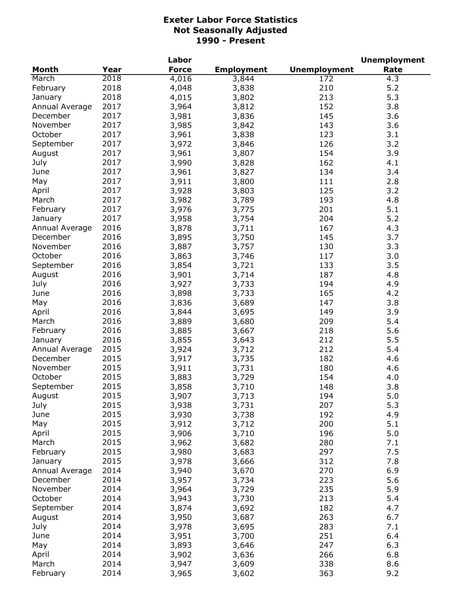|                |      | Labor        |                   |                     | <b>Unemployment</b> |
|----------------|------|--------------|-------------------|---------------------|---------------------|
| <b>Month</b>   | Year | <b>Force</b> | <b>Employment</b> | <b>Unemployment</b> | Rate                |
| March          | 2018 | 4,016        | 3,844             | 172                 | 4.3                 |
| February       | 2018 | 4,048        | 3,838             | 210                 | 5.2                 |
| January        | 2018 | 4,015        | 3,802             | 213                 | 5.3                 |
| Annual Average | 2017 | 3,964        | 3,812             | 152                 | 3.8                 |
| December       | 2017 | 3,981        | 3,836             | 145                 | 3.6                 |
| November       | 2017 | 3,985        | 3,842             | 143                 | 3.6                 |
| October        | 2017 | 3,961        | 3,838             | 123                 | 3.1                 |
| September      | 2017 | 3,972        | 3,846             | 126                 | 3.2                 |
| August         | 2017 | 3,961        | 3,807             | 154                 | 3.9                 |
| July           | 2017 | 3,990        | 3,828             | 162                 | 4.1                 |
| June           | 2017 | 3,961        | 3,827             | 134                 | 3.4                 |
| May            | 2017 | 3,911        |                   | 111                 | 2.8                 |
|                | 2017 |              | 3,800             | 125                 | 3.2                 |
| April          |      | 3,928        | 3,803             |                     |                     |
| March          | 2017 | 3,982        | 3,789             | 193                 | 4.8                 |
| February       | 2017 | 3,976        | 3,775             | 201                 | 5.1                 |
| January        | 2017 | 3,958        | 3,754             | 204                 | 5.2                 |
| Annual Average | 2016 | 3,878        | 3,711             | 167                 | 4.3                 |
| December       | 2016 | 3,895        | 3,750             | 145                 | 3.7                 |
| November       | 2016 | 3,887        | 3,757             | 130                 | 3.3                 |
| October        | 2016 | 3,863        | 3,746             | 117                 | 3.0                 |
| September      | 2016 | 3,854        | 3,721             | 133                 | 3.5                 |
| August         | 2016 | 3,901        | 3,714             | 187                 | 4.8                 |
| July           | 2016 | 3,927        | 3,733             | 194                 | 4.9                 |
| June           | 2016 | 3,898        | 3,733             | 165                 | 4.2                 |
| May            | 2016 | 3,836        | 3,689             | 147                 | 3.8                 |
| April          | 2016 | 3,844        | 3,695             | 149                 | 3.9                 |
| March          | 2016 | 3,889        | 3,680             | 209                 | 5.4                 |
| February       | 2016 | 3,885        | 3,667             | 218                 | 5.6                 |
| January        | 2016 | 3,855        | 3,643             | 212                 | 5.5                 |
| Annual Average | 2015 | 3,924        | 3,712             | 212                 | 5.4                 |
| December       | 2015 | 3,917        | 3,735             | 182                 | 4.6                 |
| November       | 2015 | 3,911        | 3,731             | 180                 | 4.6                 |
| October        | 2015 | 3,883        | 3,729             | 154                 | 4.0                 |
| September      | 2015 | 3,858        | 3,710             | 148                 | 3.8                 |
| August         | 2015 | 3,907        | 3,713             | 194                 | $5.0$               |
| July           | 2015 | 3,938        | 3,731             | 207                 | 5.3                 |
| June           | 2015 | 3,930        | 3,738             | 192                 | 4.9                 |
| May            | 2015 | 3,912        | 3,712             | 200                 | 5.1                 |
| April          | 2015 | 3,906        | 3,710             | 196                 | 5.0                 |
| March          | 2015 | 3,962        |                   | 280                 | 7.1                 |
|                | 2015 |              | 3,682             |                     |                     |
| February       | 2015 | 3,980        | 3,683             | 297                 | 7.5                 |
| January        |      | 3,978        | 3,666             | 312                 | 7.8                 |
| Annual Average | 2014 | 3,940        | 3,670             | 270                 | 6.9                 |
| December       | 2014 | 3,957        | 3,734             | 223                 | 5.6                 |
| November       | 2014 | 3,964        | 3,729             | 235                 | 5.9                 |
| October        | 2014 | 3,943        | 3,730             | 213                 | 5.4                 |
| September      | 2014 | 3,874        | 3,692             | 182                 | 4.7                 |
| August         | 2014 | 3,950        | 3,687             | 263                 | 6.7                 |
| July           | 2014 | 3,978        | 3,695             | 283                 | 7.1                 |
| June           | 2014 | 3,951        | 3,700             | 251                 | 6.4                 |
| May            | 2014 | 3,893        | 3,646             | 247                 | 6.3                 |
| April          | 2014 | 3,902        | 3,636             | 266                 | 6.8                 |
| March          | 2014 | 3,947        | 3,609             | 338                 | 8.6                 |
| February       | 2014 | 3,965        | 3,602             | 363                 | 9.2                 |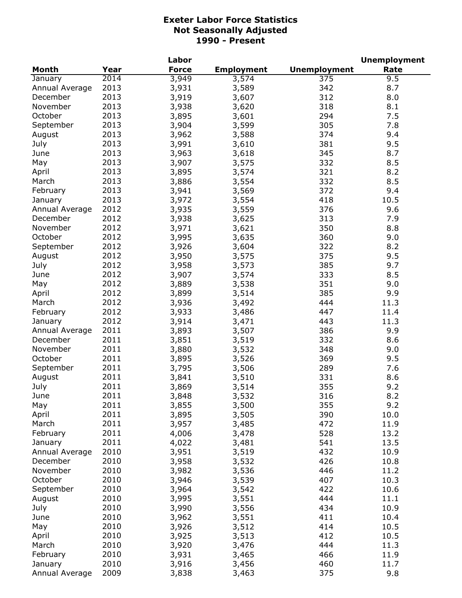|                |      | Labor        |                   |                     | <b>Unemployment</b> |
|----------------|------|--------------|-------------------|---------------------|---------------------|
| <b>Month</b>   | Year | <b>Force</b> | <b>Employment</b> | <b>Unemployment</b> | Rate                |
| January        | 2014 | 3,949        | 3,574             | 375                 | 9.5                 |
| Annual Average | 2013 | 3,931        | 3,589             | 342                 | 8.7                 |
| December       | 2013 | 3,919        | 3,607             | 312                 | 8.0                 |
| November       | 2013 | 3,938        | 3,620             | 318                 | 8.1                 |
| October        | 2013 | 3,895        | 3,601             | 294                 | 7.5                 |
| September      | 2013 | 3,904        | 3,599             | 305                 | 7.8                 |
| August         | 2013 | 3,962        | 3,588             | 374                 | 9.4                 |
| July           | 2013 | 3,991        | 3,610             | 381                 | 9.5                 |
| June           | 2013 | 3,963        | 3,618             | 345                 | 8.7                 |
| May            | 2013 | 3,907        | 3,575             | 332                 | 8.5                 |
| April          | 2013 | 3,895        | 3,574             | 321                 | 8.2                 |
| March          | 2013 | 3,886        | 3,554             | 332                 | 8.5                 |
| February       | 2013 | 3,941        | 3,569             | 372                 | 9.4                 |
| January        | 2013 | 3,972        | 3,554             | 418                 | 10.5                |
| Annual Average | 2012 | 3,935        | 3,559             | 376                 | 9.6                 |
| December       | 2012 | 3,938        | 3,625             | 313                 | 7.9                 |
| November       | 2012 | 3,971        | 3,621             | 350                 | 8.8                 |
| October        | 2012 | 3,995        | 3,635             | 360                 | 9.0                 |
| September      | 2012 | 3,926        | 3,604             | 322                 | 8.2                 |
| August         | 2012 | 3,950        | 3,575             | 375                 | 9.5                 |
| July           | 2012 | 3,958        | 3,573             | 385                 | 9.7                 |
| June           | 2012 | 3,907        | 3,574             | 333                 | 8.5                 |
| May            | 2012 | 3,889        | 3,538             | 351                 | 9.0                 |
| April          | 2012 | 3,899        | 3,514             | 385                 | 9.9                 |
| March          | 2012 | 3,936        | 3,492             | 444                 | 11.3                |
| February       | 2012 | 3,933        | 3,486             | 447                 | 11.4                |
| January        | 2012 | 3,914        | 3,471             | 443                 | 11.3                |
| Annual Average | 2011 | 3,893        | 3,507             | 386                 | 9.9                 |
| December       | 2011 | 3,851        | 3,519             | 332                 | 8.6                 |
| November       | 2011 | 3,880        | 3,532             | 348                 | 9.0                 |
| October        | 2011 | 3,895        | 3,526             | 369                 | 9.5                 |
| September      | 2011 | 3,795        | 3,506             | 289                 | 7.6                 |
| August         | 2011 | 3,841        | 3,510             | 331                 | 8.6                 |
| July           | 2011 | 3,869        | 3,514             | 355                 | 9.2                 |
| June           | 2011 | 3,848        | 3,532             | 316                 | 8.2                 |
| May            | 2011 | 3,855        | 3,500             | 355                 | 9.2                 |
| April          | 2011 | 3,895        | 3,505             | 390                 | 10.0                |
| March          | 2011 | 3,957        | 3,485             | 472                 | 11.9                |
| February       | 2011 | 4,006        | 3,478             | 528                 | 13.2                |
| January        | 2011 | 4,022        | 3,481             | 541                 | 13.5                |
| Annual Average | 2010 | 3,951        | 3,519             | 432                 | 10.9                |
| December       | 2010 | 3,958        | 3,532             | 426                 | 10.8                |
| November       | 2010 | 3,982        | 3,536             | 446                 | 11.2                |
| October        | 2010 | 3,946        | 3,539             | 407                 | 10.3                |
| September      | 2010 | 3,964        | 3,542             | 422                 | 10.6                |
| August         | 2010 | 3,995        | 3,551             | 444                 | 11.1                |
| July           | 2010 | 3,990        | 3,556             | 434                 | 10.9                |
| June           | 2010 | 3,962        | 3,551             | 411                 | 10.4                |
| May            | 2010 | 3,926        | 3,512             | 414                 | 10.5                |
| April          | 2010 | 3,925        | 3,513             | 412                 | 10.5                |
| March          | 2010 | 3,920        | 3,476             | 444                 | 11.3                |
| February       | 2010 | 3,931        | 3,465             | 466                 | 11.9                |
| January        | 2010 | 3,916        | 3,456             | 460                 | 11.7                |
| Annual Average | 2009 | 3,838        | 3,463             | 375                 | 9.8                 |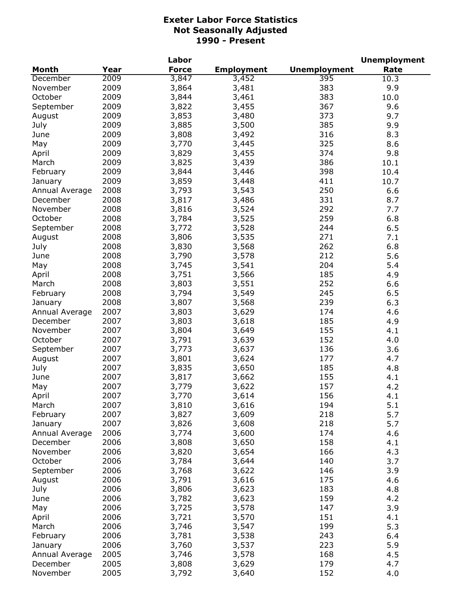|                |      | Labor        |                   |                     | <b>Unemployment</b> |
|----------------|------|--------------|-------------------|---------------------|---------------------|
| <b>Month</b>   | Year | <b>Force</b> | <b>Employment</b> | <b>Unemployment</b> | Rate                |
| December       | 2009 | 3,847        | 3,452             | 395                 | 10.3                |
| November       | 2009 | 3,864        | 3,481             | 383                 | 9.9                 |
| October        | 2009 | 3,844        | 3,461             | 383                 | 10.0                |
| September      | 2009 | 3,822        | 3,455             | 367                 | 9.6                 |
| August         | 2009 | 3,853        | 3,480             | 373                 | 9.7                 |
| July           | 2009 | 3,885        | 3,500             | 385                 | 9.9                 |
| June           | 2009 | 3,808        | 3,492             | 316                 | 8.3                 |
| May            | 2009 | 3,770        | 3,445             | 325                 | 8.6                 |
| April          | 2009 | 3,829        | 3,455             | 374                 | 9.8                 |
| March          | 2009 | 3,825        | 3,439             | 386                 | 10.1                |
| February       | 2009 | 3,844        | 3,446             | 398                 | 10.4                |
| January        | 2009 | 3,859        | 3,448             | 411                 | 10.7                |
| Annual Average | 2008 | 3,793        | 3,543             | 250                 | 6.6                 |
| December       | 2008 | 3,817        | 3,486             | 331                 | 8.7                 |
| November       | 2008 | 3,816        | 3,524             | 292                 | 7.7                 |
| October        | 2008 | 3,784        | 3,525             | 259                 | 6.8                 |
| September      | 2008 | 3,772        | 3,528             | 244                 | 6.5                 |
| August         | 2008 | 3,806        | 3,535             | 271                 | 7.1                 |
| July           | 2008 | 3,830        | 3,568             | 262                 | 6.8                 |
| June           | 2008 | 3,790        | 3,578             | 212                 | 5.6                 |
| May            | 2008 | 3,745        | 3,541             | 204                 | 5.4                 |
| April          | 2008 | 3,751        | 3,566             | 185                 | 4.9                 |
| March          | 2008 | 3,803        | 3,551             | 252                 | 6.6                 |
| February       | 2008 | 3,794        | 3,549             | 245                 | 6.5                 |
| January        | 2008 | 3,807        | 3,568             | 239                 | 6.3                 |
| Annual Average | 2007 | 3,803        | 3,629             | 174                 | 4.6                 |
| December       | 2007 | 3,803        | 3,618             | 185                 | 4.9                 |
| November       | 2007 | 3,804        | 3,649             | 155                 | 4.1                 |
| October        | 2007 | 3,791        | 3,639             | 152                 | 4.0                 |
| September      | 2007 | 3,773        | 3,637             | 136                 | 3.6                 |
| August         | 2007 | 3,801        | 3,624             | 177                 | 4.7                 |
| July           | 2007 | 3,835        | 3,650             | 185                 | 4.8                 |
| June           | 2007 | 3,817        | 3,662             | 155                 | 4.1                 |
| May            | 2007 | 3,779        | 3,622             | 157                 | 4.2                 |
| April          | 2007 | 3,770        | 3,614             | 156                 | 4.1                 |
| March          | 2007 | 3,810        | 3,616             | 194                 | 5.1                 |
| February       | 2007 | 3,827        | 3,609             | 218                 | 5.7                 |
| January        | 2007 | 3,826        | 3,608             | 218                 | 5.7                 |
| Annual Average | 2006 | 3,774        | 3,600             | 174                 | 4.6                 |
| December       | 2006 | 3,808        | 3,650             | 158                 | 4.1                 |
| November       | 2006 | 3,820        | 3,654             | 166                 | 4.3                 |
| October        | 2006 | 3,784        | 3,644             | 140                 | 3.7                 |
| September      | 2006 | 3,768        | 3,622             | 146                 | 3.9                 |
| August         | 2006 | 3,791        | 3,616             | 175                 | 4.6                 |
| July           | 2006 | 3,806        | 3,623             | 183                 | 4.8                 |
| June           | 2006 | 3,782        | 3,623             | 159                 | 4.2                 |
| May            | 2006 | 3,725        | 3,578             | 147                 | 3.9                 |
| April          | 2006 | 3,721        | 3,570             | 151                 | 4.1                 |
| March          | 2006 | 3,746        | 3,547             | 199                 | 5.3                 |
| February       | 2006 | 3,781        | 3,538             | 243                 | 6.4                 |
| January        | 2006 | 3,760        | 3,537             | 223                 | 5.9                 |
| Annual Average | 2005 | 3,746        | 3,578             | 168                 | 4.5                 |
| December       | 2005 | 3,808        | 3,629             | 179                 | 4.7                 |
| November       | 2005 | 3,792        | 3,640             | 152                 | 4.0                 |
|                |      |              |                   |                     |                     |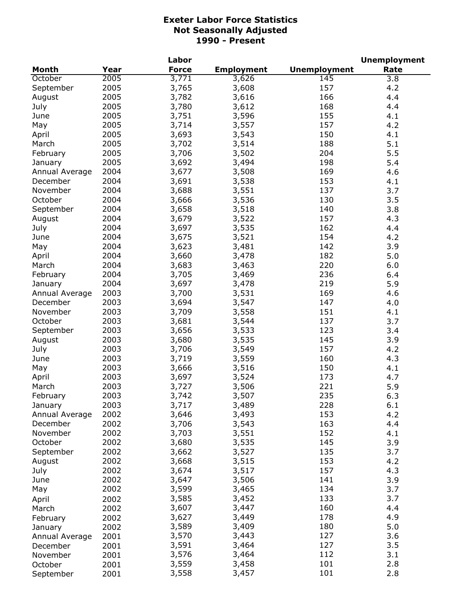|                |      | Labor        |                   |                     | <b>Unemployment</b> |
|----------------|------|--------------|-------------------|---------------------|---------------------|
| Month          | Year | <b>Force</b> | <b>Employment</b> | <b>Unemployment</b> | Rate                |
| October        | 2005 | 3,771        | 3,626             | 145                 | 3.8                 |
| September      | 2005 | 3,765        | 3,608             | 157                 | 4.2                 |
| August         | 2005 | 3,782        | 3,616             | 166                 | 4.4                 |
| July           | 2005 | 3,780        | 3,612             | 168                 | 4.4                 |
| June           | 2005 | 3,751        | 3,596             | 155                 | 4.1                 |
| May            | 2005 | 3,714        | 3,557             | 157                 | 4.2                 |
| April          | 2005 | 3,693        | 3,543             | 150                 | 4.1                 |
| March          | 2005 | 3,702        | 3,514             | 188                 | 5.1                 |
| February       | 2005 | 3,706        | 3,502             | 204                 | 5.5                 |
| January        | 2005 | 3,692        | 3,494             | 198                 | 5.4                 |
| Annual Average | 2004 | 3,677        | 3,508             | 169                 | 4.6                 |
| December       | 2004 | 3,691        | 3,538             | 153                 | 4.1                 |
| November       | 2004 | 3,688        | 3,551             | 137                 | 3.7                 |
| October        | 2004 | 3,666        | 3,536             | 130                 | 3.5                 |
| September      | 2004 | 3,658        | 3,518             | 140                 | 3.8                 |
| August         | 2004 | 3,679        | 3,522             | 157                 | 4.3                 |
| July           | 2004 | 3,697        | 3,535             | 162                 | 4.4                 |
| June           | 2004 | 3,675        | 3,521             | 154                 | 4.2                 |
| May            | 2004 | 3,623        | 3,481             | 142                 | 3.9                 |
| April          | 2004 | 3,660        | 3,478             | 182                 | 5.0                 |
| March          | 2004 | 3,683        | 3,463             | 220                 | 6.0                 |
| February       | 2004 | 3,705        | 3,469             | 236                 | 6.4                 |
| January        | 2004 | 3,697        | 3,478             | 219                 | 5.9                 |
| Annual Average | 2003 | 3,700        | 3,531             | 169                 | 4.6                 |
| December       | 2003 | 3,694        | 3,547             | 147                 | 4.0                 |
| November       | 2003 | 3,709        | 3,558             | 151                 | 4.1                 |
| October        | 2003 | 3,681        | 3,544             | 137                 | 3.7                 |
| September      | 2003 | 3,656        | 3,533             | 123                 | 3.4                 |
| August         | 2003 | 3,680        | 3,535             | 145                 | 3.9                 |
| July           | 2003 | 3,706        | 3,549             | 157                 | 4.2                 |
| June           | 2003 | 3,719        | 3,559             | 160                 | 4.3                 |
| May            | 2003 | 3,666        | 3,516             | 150                 | 4.1                 |
| April          | 2003 | 3,697        | 3,524             | 173                 | 4.7                 |
| March          | 2003 | 3,727        | 3,506             | 221                 | 5.9                 |
| February       | 2003 | 3,742        | 3,507             | 235                 | 6.3                 |
| January        | 2003 | 3,717        | 3,489             | 228                 | 6.1                 |
| Annual Average | 2002 | 3,646        | 3,493             | 153                 | 4.2                 |
| December       | 2002 | 3,706        | 3,543             | 163                 | 4.4                 |
| November       | 2002 | 3,703        | 3,551             | 152                 | 4.1                 |
| October        | 2002 | 3,680        | 3,535             | 145                 | 3.9                 |
| September      | 2002 | 3,662        | 3,527             | 135                 | 3.7                 |
| August         | 2002 | 3,668        | 3,515             | 153                 | 4.2                 |
| July           | 2002 | 3,674        | 3,517             | 157                 | 4.3                 |
| June           | 2002 | 3,647        | 3,506             | 141                 | 3.9                 |
| May            | 2002 | 3,599        | 3,465             | 134                 | 3.7                 |
|                | 2002 | 3,585        | 3,452             | 133                 | 3.7                 |
| April          |      | 3,607        | 3,447             | 160                 | 4.4                 |
| March          | 2002 | 3,627        | 3,449             | 178                 | 4.9                 |
| February       | 2002 | 3,589        | 3,409             | 180                 | 5.0                 |
| January        | 2002 | 3,570        | 3,443             | 127                 | 3.6                 |
| Annual Average | 2001 | 3,591        | 3,464             | 127                 | 3.5                 |
| December       | 2001 | 3,576        | 3,464             | 112                 | 3.1                 |
| November       | 2001 | 3,559        | 3,458             | 101                 | 2.8                 |
| October        | 2001 | 3,558        | 3,457             | 101                 | 2.8                 |
| September      | 2001 |              |                   |                     |                     |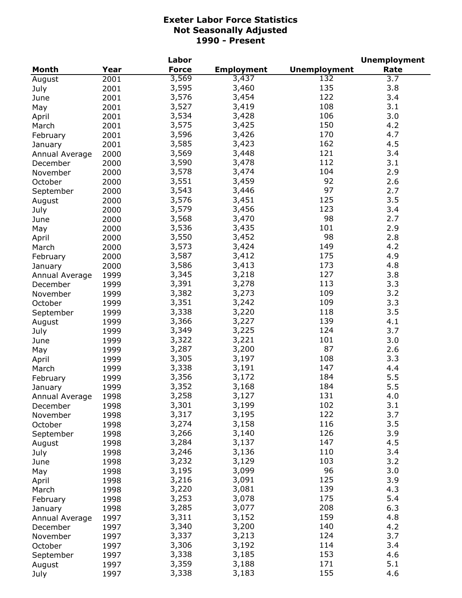|                |      | Labor        |                   |                     | <b>Unemployment</b> |
|----------------|------|--------------|-------------------|---------------------|---------------------|
| <b>Month</b>   | Year | <b>Force</b> | <b>Employment</b> | <b>Unemployment</b> | Rate                |
| August         | 2001 | 3,569        | 3,437             | 132                 | $\overline{3.7}$    |
| July           | 2001 | 3,595        | 3,460             | 135                 | 3.8                 |
| June           | 2001 | 3,576        | 3,454             | 122                 | 3.4                 |
| May            | 2001 | 3,527        | 3,419             | 108                 | 3.1                 |
| April          | 2001 | 3,534        | 3,428             | 106                 | 3.0                 |
| March          | 2001 | 3,575        | 3,425             | 150                 | 4.2                 |
|                | 2001 | 3,596        | 3,426             | 170                 | 4.7                 |
| February       | 2001 | 3,585        | 3,423             | 162                 | 4.5                 |
| January        |      | 3,569        | 3,448             | 121                 | 3.4                 |
| Annual Average | 2000 |              |                   | 112                 |                     |
| December       | 2000 | 3,590        | 3,478             |                     | 3.1                 |
| November       | 2000 | 3,578        | 3,474             | 104                 | 2.9                 |
| October        | 2000 | 3,551        | 3,459             | 92                  | 2.6                 |
| September      | 2000 | 3,543        | 3,446             | 97                  | 2.7                 |
| August         | 2000 | 3,576        | 3,451             | 125                 | 3.5                 |
| July           | 2000 | 3,579        | 3,456             | 123                 | 3.4                 |
| June           | 2000 | 3,568        | 3,470             | 98                  | 2.7                 |
| May            | 2000 | 3,536        | 3,435             | 101                 | 2.9                 |
| April          | 2000 | 3,550        | 3,452             | 98                  | 2.8                 |
| March          | 2000 | 3,573        | 3,424             | 149                 | 4.2                 |
| February       | 2000 | 3,587        | 3,412             | 175                 | 4.9                 |
| January        | 2000 | 3,586        | 3,413             | 173                 | 4.8                 |
| Annual Average | 1999 | 3,345        | 3,218             | 127                 | 3.8                 |
| December       | 1999 | 3,391        | 3,278             | 113                 | 3.3                 |
| November       | 1999 | 3,382        | 3,273             | 109                 | 3.2                 |
| October        | 1999 | 3,351        | 3,242             | 109                 | 3.3                 |
| September      | 1999 | 3,338        | 3,220             | 118                 | 3.5                 |
| August         | 1999 | 3,366        | 3,227             | 139                 | 4.1                 |
|                | 1999 | 3,349        | 3,225             | 124                 | 3.7                 |
| July           | 1999 | 3,322        | 3,221             | 101                 | 3.0                 |
| June           |      | 3,287        | 3,200             | 87                  | 2.6                 |
| May            | 1999 |              |                   | 108                 |                     |
| April          | 1999 | 3,305        | 3,197             |                     | 3.3                 |
| March          | 1999 | 3,338        | 3,191             | 147                 | 4.4                 |
| February       | 1999 | 3,356        | 3,172             | 184                 | 5.5                 |
| January        | 1999 | 3,352        | 3,168             | 184                 | 5.5                 |
| Annual Average | 1998 | 3,258        | 3,127             | 131                 | 4.0                 |
| December       | 1998 | 3,301        | 3,199             | 102                 | 3.1                 |
| November       | 1998 | 3,317        | 3,195             | 122                 | 3.7                 |
| October        | 1998 | 3,274        | 3,158             | 116                 | 3.5                 |
| September      | 1998 | 3,266        | 3,140             | 126                 | 3.9                 |
| August         | 1998 | 3,284        | 3,137             | 147                 | 4.5                 |
| July           | 1998 | 3,246        | 3,136             | 110                 | 3.4                 |
| June           | 1998 | 3,232        | 3,129             | 103                 | 3.2                 |
| May            | 1998 | 3,195        | 3,099             | 96                  | 3.0                 |
| April          | 1998 | 3,216        | 3,091             | 125                 | 3.9                 |
| March          | 1998 | 3,220        | 3,081             | 139                 | 4.3                 |
| February       | 1998 | 3,253        | 3,078             | 175                 | 5.4                 |
| January        | 1998 | 3,285        | 3,077             | 208                 | 6.3                 |
| Annual Average | 1997 | 3,311        | 3,152             | 159                 | 4.8                 |
| December       | 1997 | 3,340        | 3,200             | 140                 | 4.2                 |
| November       | 1997 | 3,337        | 3,213             | 124                 | 3.7                 |
| October        | 1997 | 3,306        | 3,192             | 114                 | 3.4                 |
|                | 1997 | 3,338        | 3,185             | 153                 | 4.6                 |
| September      |      | 3,359        | 3,188             | 171                 | 5.1                 |
| August         | 1997 |              |                   | 155                 | 4.6                 |
| July           | 1997 | 3,338        | 3,183             |                     |                     |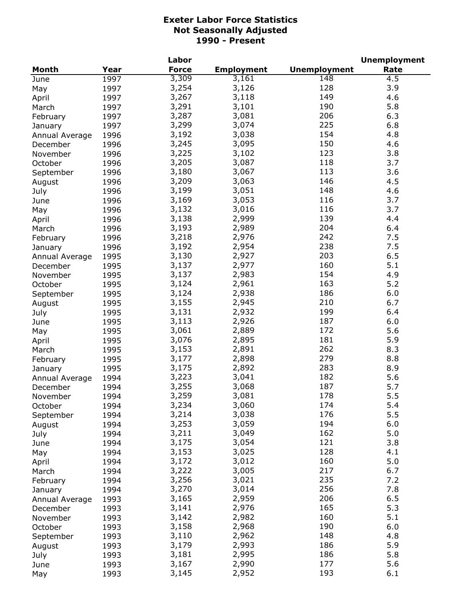|                |      | Labor        |                   |                     | <b>Unemployment</b> |
|----------------|------|--------------|-------------------|---------------------|---------------------|
| Month          | Year | <b>Force</b> | <b>Employment</b> | <b>Unemployment</b> | Rate                |
| June           | 1997 | 3,309        | 3,161             | 148                 | 4.5                 |
| May            | 1997 | 3,254        | 3,126             | 128                 | 3.9                 |
| April          | 1997 | 3,267        | 3,118             | 149                 | 4.6                 |
| March          | 1997 | 3,291        | 3,101             | 190                 | 5.8                 |
| February       | 1997 | 3,287        | 3,081             | 206                 | 6.3                 |
| January        | 1997 | 3,299        | 3,074             | 225                 | 6.8                 |
| Annual Average | 1996 | 3,192        | 3,038             | 154                 | 4.8                 |
| December       | 1996 | 3,245        | 3,095             | 150                 | 4.6                 |
| November       | 1996 | 3,225        | 3,102             | 123                 | 3.8                 |
| October        | 1996 | 3,205        | 3,087             | 118                 | 3.7                 |
|                | 1996 | 3,180        | 3,067             | 113                 | 3.6                 |
| September      | 1996 | 3,209        | 3,063             | 146                 | 4.5                 |
| August         |      | 3,199        | 3,051             | 148                 |                     |
| July           | 1996 |              |                   |                     | 4.6<br>3.7          |
| June           | 1996 | 3,169        | 3,053             | 116                 |                     |
| May            | 1996 | 3,132        | 3,016             | 116                 | 3.7                 |
| April          | 1996 | 3,138        | 2,999             | 139                 | 4.4                 |
| March          | 1996 | 3,193        | 2,989             | 204                 | 6.4                 |
| February       | 1996 | 3,218        | 2,976             | 242                 | 7.5                 |
| January        | 1996 | 3,192        | 2,954             | 238                 | 7.5                 |
| Annual Average | 1995 | 3,130        | 2,927             | 203                 | 6.5                 |
| December       | 1995 | 3,137        | 2,977             | 160                 | 5.1                 |
| November       | 1995 | 3,137        | 2,983             | 154                 | 4.9                 |
| October        | 1995 | 3,124        | 2,961             | 163                 | 5.2                 |
| September      | 1995 | 3,124        | 2,938             | 186                 | 6.0                 |
| August         | 1995 | 3,155        | 2,945             | 210                 | 6.7                 |
| July           | 1995 | 3,131        | 2,932             | 199                 | 6.4                 |
| June           | 1995 | 3,113        | 2,926             | 187                 | 6.0                 |
| May            | 1995 | 3,061        | 2,889             | 172                 | 5.6                 |
| April          | 1995 | 3,076        | 2,895             | 181                 | 5.9                 |
| March          | 1995 | 3,153        | 2,891             | 262                 | 8.3                 |
| February       | 1995 | 3,177        | 2,898             | 279                 | 8.8                 |
| January        | 1995 | 3,175        | 2,892             | 283                 | 8.9                 |
| Annual Average | 1994 | 3,223        | 3,041             | 182                 | 5.6                 |
| December       | 1994 | 3,255        | 3,068             | 187                 | 5.7                 |
| November       | 1994 | 3,259        | 3,081             | 178                 | 5.5                 |
| October        | 1994 | 3,234        | 3,060             | 174                 | 5.4                 |
| September      | 1994 | 3,214        | 3,038             | 176                 | 5.5                 |
| August         | 1994 | 3,253        | 3,059             | 194                 | 6.0                 |
| July           | 1994 | 3,211        | 3,049             | 162                 | 5.0                 |
| June           | 1994 | 3,175        | 3,054             | 121                 | 3.8                 |
|                |      | 3,153        | 3,025             | 128                 | 4.1                 |
| May            | 1994 | 3,172        | 3,012             | 160                 | 5.0                 |
| April          | 1994 | 3,222        | 3,005             | 217                 |                     |
| March          | 1994 |              |                   |                     | 6.7                 |
| February       | 1994 | 3,256        | 3,021             | 235                 | 7.2                 |
| January        | 1994 | 3,270        | 3,014             | 256                 | 7.8                 |
| Annual Average | 1993 | 3,165        | 2,959             | 206                 | 6.5                 |
| December       | 1993 | 3,141        | 2,976             | 165                 | 5.3                 |
| November       | 1993 | 3,142        | 2,982             | 160                 | 5.1                 |
| October        | 1993 | 3,158        | 2,968             | 190                 | 6.0                 |
| September      | 1993 | 3,110        | 2,962             | 148                 | 4.8                 |
| August         | 1993 | 3,179        | 2,993             | 186                 | 5.9                 |
| July           | 1993 | 3,181        | 2,995             | 186                 | 5.8                 |
| June           | 1993 | 3,167        | 2,990             | 177                 | 5.6                 |
| May            | 1993 | 3,145        | 2,952             | 193                 | 6.1                 |